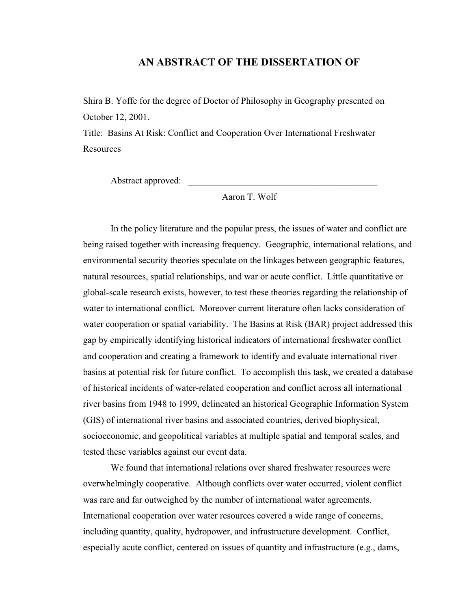#### **AN ABSTRACT OF THE DISSERTATION OF**

Shira B. Yoffe for the degree of Doctor of Philosophy in Geography presented on October 12, 2001.

Title: Basins At Risk: Conflict and Cooperation Over International Freshwater **Resources** 

Abstract approved:

Aaron T. Wolf

In the policy literature and the popular press, the issues of water and conflict are being raised together with increasing frequency. Geographic, international relations, and environmental security theories speculate on the linkages between geographic features, natural resources, spatial relationships, and war or acute conflict. Little quantitative or global-scale research exists, however, to test these theories regarding the relationship of water to international conflict. Moreover current literature often lacks consideration of water cooperation or spatial variability. The Basins at Risk (BAR) project addressed this gap by empirically identifying historical indicators of international freshwater conflict and cooperation and creating a framework to identify and evaluate international river basins at potential risk for future conflict. To accomplish this task, we created a database of historical incidents of water-related cooperation and conflict across all international river basins from 1948 to 1999, delineated an historical Geographic Information System (GIS) of international river basins and associated countries, derived biophysical, socioeconomic, and geopolitical variables at multiple spatial and temporal scales, and tested these variables against our event data.

We found that international relations over shared freshwater resources were overwhelmingly cooperative. Although conflicts over water occurred, violent conflict was rare and far outweighed by the number of international water agreements. International cooperation over water resources covered a wide range of concerns, including quantity, quality, hydropower, and infrastructure development. Conflict, especially acute conflict, centered on issues of quantity and infrastructure (e.g., dams,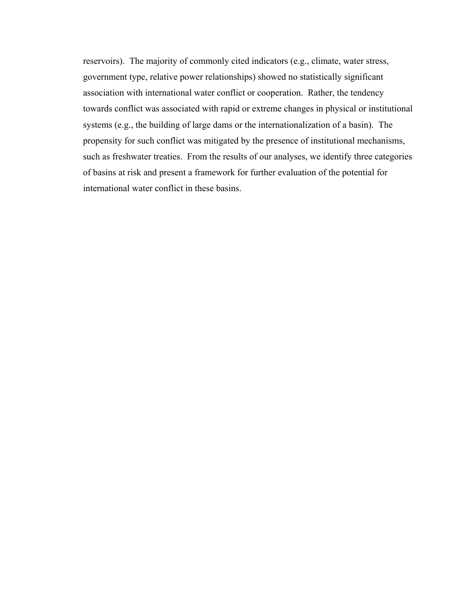reservoirs). The majority of commonly cited indicators (e.g., climate, water stress, government type, relative power relationships) showed no statistically significant association with international water conflict or cooperation. Rather, the tendency towards conflict was associated with rapid or extreme changes in physical or institutional systems (e.g., the building of large dams or the internationalization of a basin). The propensity for such conflict was mitigated by the presence of institutional mechanisms, such as freshwater treaties. From the results of our analyses, we identify three categories of basins at risk and present a framework for further evaluation of the potential for international water conflict in these basins.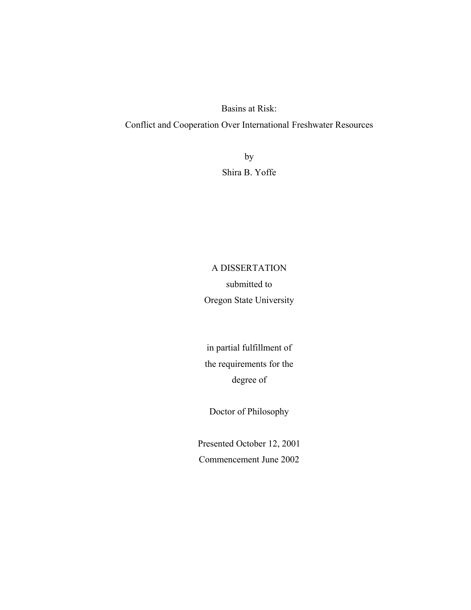Basins at Risk: Conflict and Cooperation Over International Freshwater Resources

> by Shira B. Yoffe

# A DISSERTATION submitted to Oregon State University

in partial fulfillment of the requirements for the degree of

Doctor of Philosophy

Presented October 12, 2001 Commencement June 2002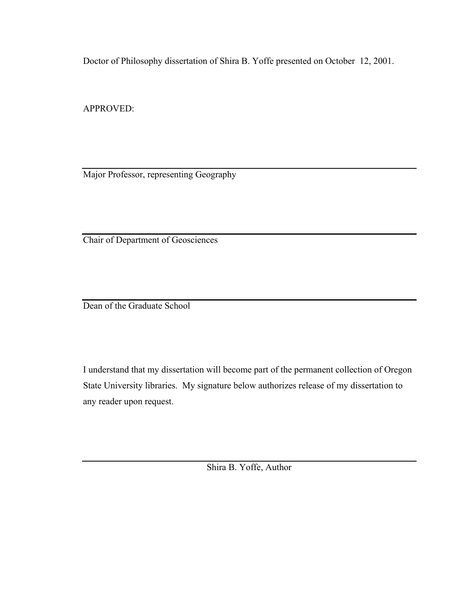Doctor of Philosophy dissertation of Shira B. Yoffe presented on October 12, 2001.

APPROVED:

Major Professor, representing Geography

Chair of Department of Geosciences

Dean of the Graduate School

I understand that my dissertation will become part of the permanent collection of Oregon State University libraries. My signature below authorizes release of my dissertation to any reader upon request.

Shira B. Yoffe, Author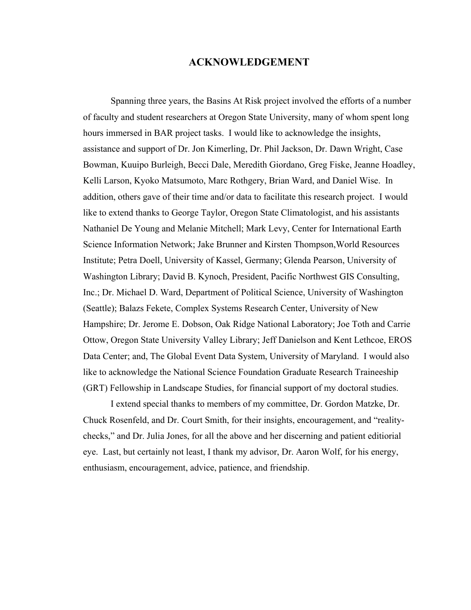#### **ACKNOWLEDGEMENT**

Spanning three years, the Basins At Risk project involved the efforts of a number of faculty and student researchers at Oregon State University, many of whom spent long hours immersed in BAR project tasks. I would like to acknowledge the insights, assistance and support of Dr. Jon Kimerling, Dr. Phil Jackson, Dr. Dawn Wright, Case Bowman, Kuuipo Burleigh, Becci Dale, Meredith Giordano, Greg Fiske, Jeanne Hoadley, Kelli Larson, Kyoko Matsumoto, Marc Rothgery, Brian Ward, and Daniel Wise. In addition, others gave of their time and/or data to facilitate this research project. I would like to extend thanks to George Taylor, Oregon State Climatologist, and his assistants Nathaniel De Young and Melanie Mitchell; Mark Levy, Center for International Earth Science Information Network; Jake Brunner and Kirsten Thompson,World Resources Institute; Petra Doell, University of Kassel, Germany; Glenda Pearson, University of Washington Library; David B. Kynoch, President, Pacific Northwest GIS Consulting, Inc.; Dr. Michael D. Ward, Department of Political Science, University of Washington (Seattle); Balazs Fekete, Complex Systems Research Center, University of New Hampshire; Dr. Jerome E. Dobson, Oak Ridge National Laboratory; Joe Toth and Carrie Ottow, Oregon State University Valley Library; Jeff Danielson and Kent Lethcoe, EROS Data Center; and, The Global Event Data System, University of Maryland. I would also like to acknowledge the National Science Foundation Graduate Research Traineeship (GRT) Fellowship in Landscape Studies, for financial support of my doctoral studies.

I extend special thanks to members of my committee, Dr. Gordon Matzke, Dr. Chuck Rosenfeld, and Dr. Court Smith, for their insights, encouragement, and "realitychecks," and Dr. Julia Jones, for all the above and her discerning and patient editiorial eye. Last, but certainly not least, I thank my advisor, Dr. Aaron Wolf, for his energy, enthusiasm, encouragement, advice, patience, and friendship.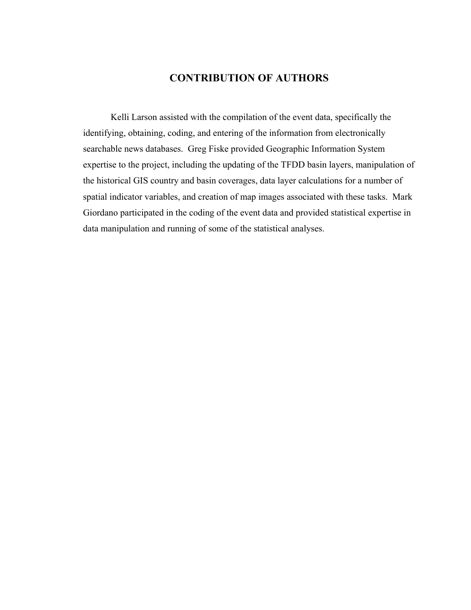### **CONTRIBUTION OF AUTHORS**

Kelli Larson assisted with the compilation of the event data, specifically the identifying, obtaining, coding, and entering of the information from electronically searchable news databases. Greg Fiske provided Geographic Information System expertise to the project, including the updating of the TFDD basin layers, manipulation of the historical GIS country and basin coverages, data layer calculations for a number of spatial indicator variables, and creation of map images associated with these tasks. Mark Giordano participated in the coding of the event data and provided statistical expertise in data manipulation and running of some of the statistical analyses.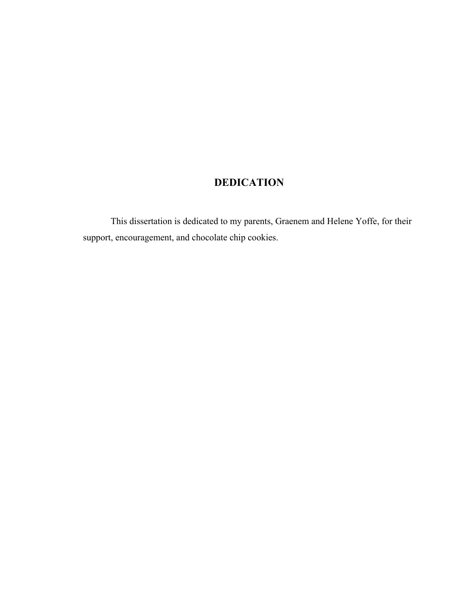## **DEDICATION**

This dissertation is dedicated to my parents, Graenem and Helene Yoffe, for their support, encouragement, and chocolate chip cookies.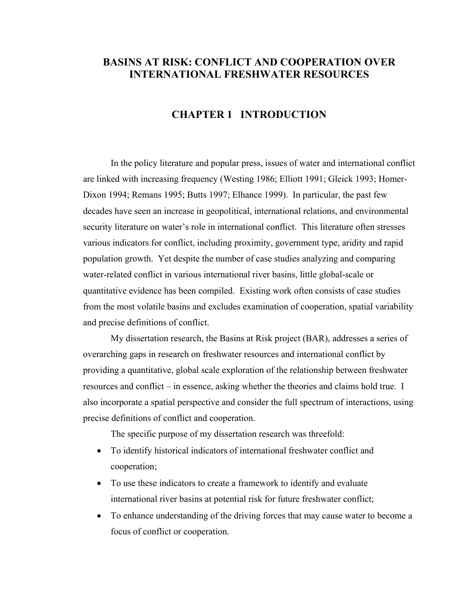### **BASINS AT RISK: CONFLICT AND COOPERATION OVER INTERNATIONAL FRESHWATER RESOURCES**

#### **CHAPTER 1 INTRODUCTION**

In the policy literature and popular press, issues of water and international conflict are linked with increasing frequency (Westing 1986; Elliott 1991; Gleick 1993; Homer-Dixon 1994; Remans 1995; Butts 1997; Elhance 1999). In particular, the past few decades have seen an increase in geopolitical, international relations, and environmental security literature on water's role in international conflict. This literature often stresses various indicators for conflict, including proximity, government type, aridity and rapid population growth. Yet despite the number of case studies analyzing and comparing water-related conflict in various international river basins, little global-scale or quantitative evidence has been compiled. Existing work often consists of case studies from the most volatile basins and excludes examination of cooperation, spatial variability and precise definitions of conflict.

My dissertation research, the Basins at Risk project (BAR), addresses a series of overarching gaps in research on freshwater resources and international conflict by providing a quantitative, global scale exploration of the relationship between freshwater resources and conflict – in essence, asking whether the theories and claims hold true. I also incorporate a spatial perspective and consider the full spectrum of interactions, using precise definitions of conflict and cooperation.

The specific purpose of my dissertation research was threefold:

- To identify historical indicators of international freshwater conflict and cooperation;
- To use these indicators to create a framework to identify and evaluate international river basins at potential risk for future freshwater conflict;
- To enhance understanding of the driving forces that may cause water to become a focus of conflict or cooperation.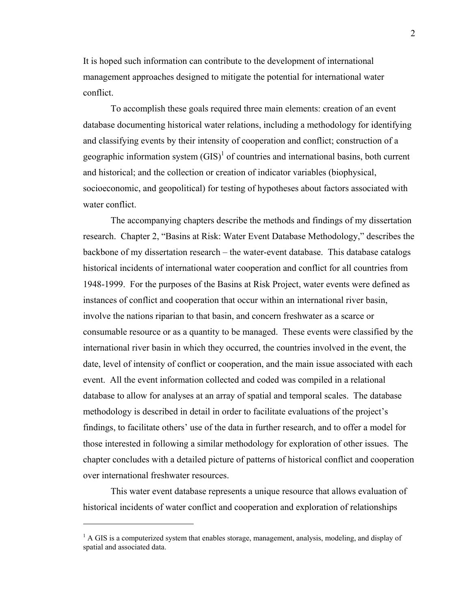It is hoped such information can contribute to the development of international management approaches designed to mitigate the potential for international water conflict.

To accomplish these goals required three main elements: creation of an event database documenting historical water relations, including a methodology for identifying and classifying events by their intensity of cooperation and conflict; construction of a geographic information system  $(GIS)^1$  of countries and international basins, both current and historical; and the collection or creation of indicator variables (biophysical, socioeconomic, and geopolitical) for testing of hypotheses about factors associated with water conflict.

The accompanying chapters describe the methods and findings of my dissertation research. Chapter 2, "Basins at Risk: Water Event Database Methodology," describes the backbone of my dissertation research – the water-event database. This database catalogs historical incidents of international water cooperation and conflict for all countries from 1948-1999. For the purposes of the Basins at Risk Project, water events were defined as instances of conflict and cooperation that occur within an international river basin, involve the nations riparian to that basin, and concern freshwater as a scarce or consumable resource or as a quantity to be managed. These events were classified by the international river basin in which they occurred, the countries involved in the event, the date, level of intensity of conflict or cooperation, and the main issue associated with each event. All the event information collected and coded was compiled in a relational database to allow for analyses at an array of spatial and temporal scales. The database methodology is described in detail in order to facilitate evaluations of the project's findings, to facilitate others' use of the data in further research, and to offer a model for those interested in following a similar methodology for exploration of other issues. The chapter concludes with a detailed picture of patterns of historical conflict and cooperation over international freshwater resources.

This water event database represents a unique resource that allows evaluation of historical incidents of water conflict and cooperation and exploration of relationships

 $\overline{a}$ 

<sup>&</sup>lt;sup>1</sup> A GIS is a computerized system that enables storage, management, analysis, modeling, and display of spatial and associated data.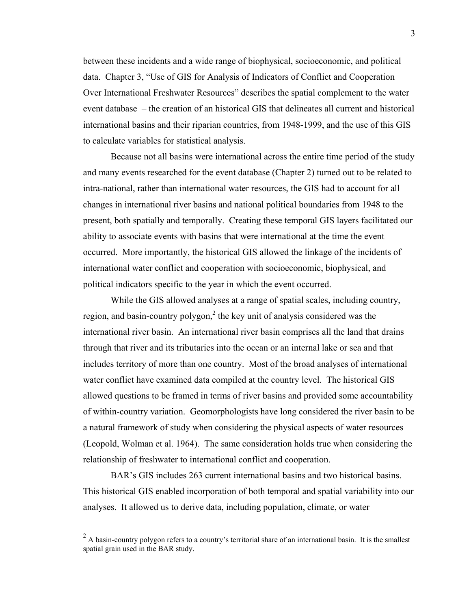between these incidents and a wide range of biophysical, socioeconomic, and political data. Chapter 3, "Use of GIS for Analysis of Indicators of Conflict and Cooperation Over International Freshwater Resources" describes the spatial complement to the water event database – the creation of an historical GIS that delineates all current and historical international basins and their riparian countries, from 1948-1999, and the use of this GIS to calculate variables for statistical analysis.

Because not all basins were international across the entire time period of the study and many events researched for the event database (Chapter 2) turned out to be related to intra-national, rather than international water resources, the GIS had to account for all changes in international river basins and national political boundaries from 1948 to the present, both spatially and temporally. Creating these temporal GIS layers facilitated our ability to associate events with basins that were international at the time the event occurred. More importantly, the historical GIS allowed the linkage of the incidents of international water conflict and cooperation with socioeconomic, biophysical, and political indicators specific to the year in which the event occurred.

While the GIS allowed analyses at a range of spatial scales, including country, region, and basin-country polygon,<sup>2</sup> the key unit of analysis considered was the international river basin. An international river basin comprises all the land that drains through that river and its tributaries into the ocean or an internal lake or sea and that includes territory of more than one country. Most of the broad analyses of international water conflict have examined data compiled at the country level. The historical GIS allowed questions to be framed in terms of river basins and provided some accountability of within-country variation. Geomorphologists have long considered the river basin to be a natural framework of study when considering the physical aspects of water resources (Leopold, Wolman et al. 1964). The same consideration holds true when considering the relationship of freshwater to international conflict and cooperation.

BAR's GIS includes 263 current international basins and two historical basins. This historical GIS enabled incorporation of both temporal and spatial variability into our analyses. It allowed us to derive data, including population, climate, or water

 $\overline{a}$ 

 $2^2$  A basin-country polygon refers to a country's territorial share of an international basin. It is the smallest spatial grain used in the BAR study.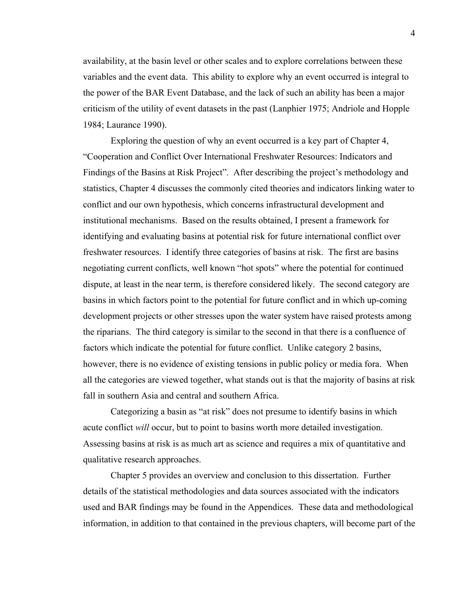availability, at the basin level or other scales and to explore correlations between these variables and the event data. This ability to explore why an event occurred is integral to the power of the BAR Event Database, and the lack of such an ability has been a major criticism of the utility of event datasets in the past (Lanphier 1975; Andriole and Hopple 1984; Laurance 1990).

Exploring the question of why an event occurred is a key part of Chapter 4, "Cooperation and Conflict Over International Freshwater Resources: Indicators and Findings of the Basins at Risk Project". After describing the project's methodology and statistics, Chapter 4 discusses the commonly cited theories and indicators linking water to conflict and our own hypothesis, which concerns infrastructural development and institutional mechanisms. Based on the results obtained, I present a framework for identifying and evaluating basins at potential risk for future international conflict over freshwater resources. I identify three categories of basins at risk. The first are basins negotiating current conflicts, well known "hot spots" where the potential for continued dispute, at least in the near term, is therefore considered likely. The second category are basins in which factors point to the potential for future conflict and in which up-coming development projects or other stresses upon the water system have raised protests among the riparians. The third category is similar to the second in that there is a confluence of factors which indicate the potential for future conflict. Unlike category 2 basins, however, there is no evidence of existing tensions in public policy or media fora. When all the categories are viewed together, what stands out is that the majority of basins at risk fall in southern Asia and central and southern Africa.

Categorizing a basin as "at risk" does not presume to identify basins in which acute conflict *will* occur, but to point to basins worth more detailed investigation. Assessing basins at risk is as much art as science and requires a mix of quantitative and qualitative research approaches.

Chapter 5 provides an overview and conclusion to this dissertation. Further details of the statistical methodologies and data sources associated with the indicators used and BAR findings may be found in the Appendices. These data and methodological information, in addition to that contained in the previous chapters, will become part of the